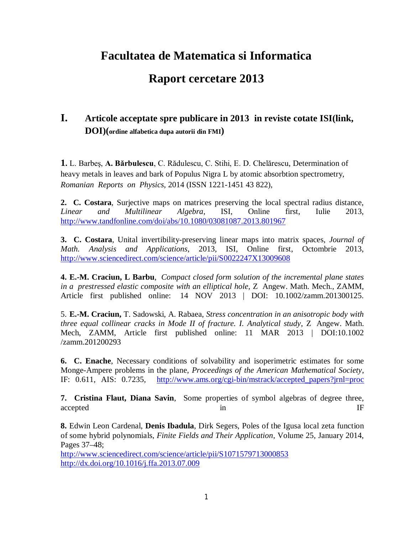# **Facultatea de Matematica si Informatica**

## **Raport cercetare 2013**

### **I. Articole acceptate spre publicare in 2013 in reviste cotate ISI(link, DOI)(ordine alfabetica dupa autorii din FMI)**

**1.** L. Barbeş, **A. Bărbulescu**, C. Rădulescu, C. Stihi, E. D. Chelărescu, Determination of heavy metals in leaves and bark of Populus Nigra L by atomic absorbtion spectrometry, *Romanian Reports on Physics*, 2014 (ISSN 1221-1451 43 822),

**2. C. Costara**, Surjective maps on matrices preserving the local spectral radius distance, *Linear and Multilinear Algebra*, ISI, Online first, Iulie 2013, http://www.tandfonline.com/doi/abs/10.1080/03081087.2013.801967

**3. C. Costara**, Unital invertibility-preserving linear maps into matrix spaces, *Journal of Math. Analysis and Applications*, 2013, ISI, Online first, Octombrie 2013, http://www.sciencedirect.com/science/article/pii/S0022247X13009608

**4. E.-M. Craciun, L Barbu**, *Compact closed form solution of the incremental plane states in a prestressed elastic composite with an elliptical hole,* Z Angew. Math. Mech., ZAMM, Article first published online: 14 NOV 2013 | DOI: 10.1002/zamm.201300125.

5. **E.-M. Craciun,** T. Sadowski, A. Rabaea, *Stress concentration in an anisotropic body with three equal collinear cracks in Mode II of fracture. I. Analytical study*, Z Angew. Math. Mech, ZAMM, Article first published online: 11 MAR 2013 | DOI:10.1002 /zamm.201200293

**6. C. Enache**, Necessary conditions of solvability and isoperimetric estimates for some Monge-Ampere problems in the plane, *Proceedings of the American Mathematical Society*, IF: 0.611, AIS: 0.7235, http://www.ams.org/cgi-bin/mstrack/accepted\_papers?jrnl=proc

**7. Cristina Flaut, Diana Savin**, Some properties of symbol algebras of degree three, accepted In the set of the set of the set of the set of the set of the set of the set of the set of the set of the set of the set of the set of the set of the set of the set of the set of the set of the set of the set of t

**8.** Edwin Leon Cardenal, **Denis Ibadula**, Dirk Segers, Poles of the Igusa local zeta function of some hybrid polynomials, *Finite Fields and Their Application*, Volume 25, January 2014, Pages 37–48;

http://www.sciencedirect.com/science/article/pii/S1071579713000853 http://dx.doi.org/10.1016/j.ffa.2013.07.009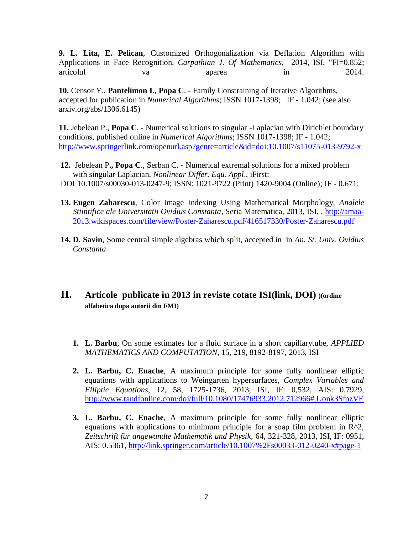**9. L. Lita, E. Pelican**, Customized Orthogonalization via Deflation Algorithm with Applications in Face Recognition, *Carpathian J. Of Mathematics*, 2014, ISI, "FI=0.852; articolul va va aparea in 2014.

**10.** Censor Y., **Pantelimon I**., **Popa C**. - Family Constraining of Iterative Algorithms, accepted for publication in *Numerical Algorithms*; ISSN 1017-1398; IF - 1.042; (see also arxiv.org/abs/1306.6145)

**11.** Jebelean P., **Popa C**. - Numerical solutions to singular -Laplacian with Dirichlet boundary conditions, published online in *Numerical Algorithms*; ISSN 1017-1398; IF - 1.042; http://www.springerlink.com/openurl.asp?genre=article&id=doi:10.1007/s11075-013-9792-x

- **12.** Jebelean P**., Popa C**., Serban C. Numerical extremal solutions for a mixed problem with singular Laplacian, *Nonlinear Differ. Equ. Appl*., iFirst: DOI 10.1007/s00030-013-0247-9; ISSN: 1021-9722 (Print) 1420-9004 (Online); IF - 0.671;
- **13. Eugen Zaharescu**, Color Image Indexing Using Mathematical Morphology, *Analele Stiintifice ale Universitatii Ovidius Constanta*, Seria Matematica, 2013, ISI, , http://amaa-2013.wikispaces.com/file/view/Poster-Zaharescu.pdf/416517330/Poster-Zaharescu.pdf
- **14. D. Savin**, Some central simple algebras which split, accepted in in *An. St. Univ. Ovidius Constanta*
- **II. Articole publicate in 2013 in reviste cotate ISI(link, DOI) )(ordine alfabetica dupa autorii din FMI)**
	- **1. L. Barbu**, On some estimates for a fluid surface in a short capillarytube, *APPLIED MATHEMATICS AND COMPUTATION*, 15, 219, 8192-8197, 2013, ISI
	- **2. L. Barbu, C. Enache**, A maximum principle for some fully nonlinear elliptic equations with applications to Weingarten hypersurfaces, *Complex Variables and Elliptic Equations*, 12, 58, 1725-1736, 2013, ISI, IF: 0,532, AIS: 0.7929, http://www.tandfonline.com/doi/full/10.1080/17476933.2012.712966#.Uonk3SfpzVE
	- **3. L. Barbu, C. Enache**, A maximum principle for some fully nonlinear elliptic equations with applications to minimum principle for a soap film problem in  $R^2$ , *Zeitschrift für angewandte Mathematik und Physik*, 64, 321-328, 2013, ISI, IF: 0951, AIS: 0.5361, http://link.springer.com/article/10.1007%2Fs00033-012-0240-x#page-1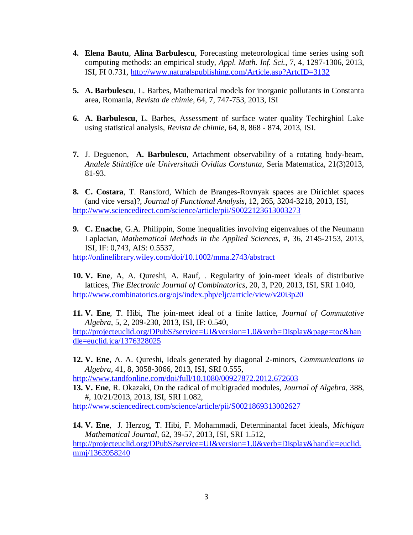- **4. Elena Bautu**, **Alina Barbulescu**, Forecasting meteorological time series using soft computing methods: an empirical study, *Appl. Math. Inf. Sci.*, 7, 4, 1297-1306, 2013, ISI, FI 0.731, http://www.naturalspublishing.com/Article.asp?ArtcID=3132
- **5. A. Barbulescu**, L. Barbes, Mathematical models for inorganic pollutants in Constanta area, Romania, *Revista de chimie*, 64, 7, 747-753, 2013, ISI
- **6. A. Barbulescu**, L. Barbes, Assessment of surface water quality Techirghiol Lake using statistical analysis, *Revista de chimie*, 64, 8, 868 - 874, 2013, ISI.
- **7.** J. Deguenon, **A. Barbulescu**, Attachment observability of a rotating body-beam, *Analele Stiintifice ale Universitatii Ovidius Constanta*, Seria Matematica, 21(3)2013, 81-93.
- **8. C. Costara**, T. Ransford, Which de Branges-Rovnyak spaces are Dirichlet spaces (and vice versa)?, *Journal of Functional Analysis*, 12, 265, 3204-3218, 2013, ISI, http://www.sciencedirect.com/science/article/pii/S0022123613003273
- **9. C. Enache**, G.A. Philippin, Some inequalities involving eigenvalues of the Neumann Laplacian, *Mathematical Methods in the Applied Sciences*, #, 36, 2145-2153, 2013, ISI, IF: 0,743, AIS: 0.5537,

http://onlinelibrary.wiley.com/doi/10.1002/mma.2743/abstract

- **10. V. Ene**, A, A. Qureshi, A. Rauf, . Regularity of join-meet ideals of distributive lattices, *The Electronic Journal of Combinatorics*, 20, 3, P20, 2013, ISI, SRI 1.040, http://www.combinatorics.org/ojs/index.php/eljc/article/view/v20i3p20
- **11. V. Ene**, T. Hibi, The join-meet ideal of a finite lattice, *Journal of Commutative Algebra*, 5, 2, 209-230, 2013, ISI, IF: 0.540,

http://projecteuclid.org/DPubS?service=UI&version=1.0&verb=Display&page=toc&han dle=euclid.jca/1376328025

**12. V. Ene**, A. A. Qureshi, Ideals generated by diagonal 2-minors, *Communications in Algebra*, 41, 8, 3058-3066, 2013, ISI, SRI 0.555,

http://www.tandfonline.com/doi/full/10.1080/00927872.2012.672603

**13. V. Ene**, R. Okazaki, On the radical of multigraded modules, *Journal of Algebra*, 388, #, 10/21/2013, 2013, ISI, SRI 1.082,

http://www.sciencedirect.com/science/article/pii/S0021869313002627

**14. V. Ene**, J. Herzog, T. Hibi, F. Mohammadi, Determinantal facet ideals, *Michigan Mathematical Journal*, 62, 39-57, 2013, ISI, SRI 1.512, http://projecteuclid.org/DPubS?service=UI&version=1.0&verb=Display&handle=euclid. mmj/1363958240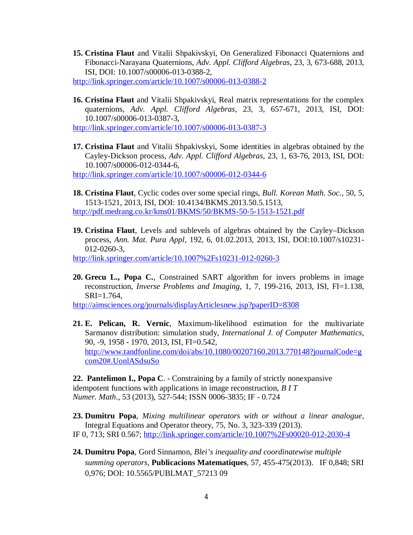- **15. Cristina Flaut** and Vitalii Shpakivskyi, On Generalized Fibonacci Quaternions and Fibonacci-Narayana Quaternions, *Adv. Appl. Clifford Algebras*, 23, 3, 673-688, 2013, ISI, DOI: 10.1007/s00006-013-0388-2, http://link.springer.com/article/10.1007/s00006-013-0388-2
- **16. Cristina Flaut** and Vitalii Shpakivskyi, Real matrix representations for the complex quaternions, *Adv. Appl. Clifford Algebras*, 23, 3, 657-671, 2013, ISI, DOI: 10.1007/s00006-013-0387-3,

http://link.springer.com/article/10.1007/s00006-013-0387-3

**17. Cristina Flaut** and Vitalii Shpakivskyi, Some identities in algebras obtained by the Cayley-Dickson process, *Adv. Appl. Clifford Algebras*, 23, 1, 63-76, 2013, ISI, DOI: 10.1007/s00006-012-0344-6, http://link.springer.com/article/10.1007/s00006-012-0344-6

**18. Cristina Flaut**, Cyclic codes over some special rings, *Bull. Korean Math. Soc.*, 50, 5, 1513-1521, 2013, ISI, DOI: 10.4134/BKMS.2013.50.5.1513, http://pdf.medrang.co.kr/kms01/BKMS/50/BKMS-50-5-1513-1521.pdf

**19. Cristina Flaut**, Levels and sublevels of algebras obtained by the Cayley–Dickson process, *Ann. Mat. Pura Appl*, 192, 6, 01.02.2013, 2013, ISI, DOI:10.1007/s10231- 012-0260-3,

http://link.springer.com/article/10.1007%2Fs10231-012-0260-3

**20. Grecu L., Popa C.**, Constrained SART algorithm for invers problems in image reconstruction, *Inverse Problems and Imaging*, 1, 7, 199-216, 2013, ISI, FI=1.138, SRI=1.764,

http://aimsciences.org/journals/displayArticlesnew.jsp?paperID=8308

**21. E. Pelican, R. Vernic**, Maximum-likelihood estimation for the multivariate Sarmanov distribution: simulation study, *International J. of Computer Mathematics*, 90, -9, 1958 - 1970, 2013, ISI, FI=0.542, http://www.tandfonline.com/doi/abs/10.1080/00207160.2013.770148?journalCode=g com20#.UonlASdsuSo

**22. Pantelimon I., Popa C**. - Constraining by a family of strictly nonexpansive idempotent functions with applications in image reconstruction, *B I T Numer. Math*., 53 (2013), 527-544; ISSN 0006-3835; IF - 0.724

**23. Dumitru Popa**, *Mixing multilinear operators with or without a linear analogue*, Integral Equations and Operator theory, 75, No. 3, 323-339 (2013). IF 0, 713; SRI 0.567; http://link.springer.com/article/10.1007%2Fs00020-012-2030-4

**24. Dumitru Popa**, Gord Sinnamon, *Blei's inequality and coordinatewise multiple summing operators*, **Publicacions Matematiques**, 57, 455-475(2013). IF 0,848; SRI 0,976; DOI: 10.5565/PUBLMAT\_57213 09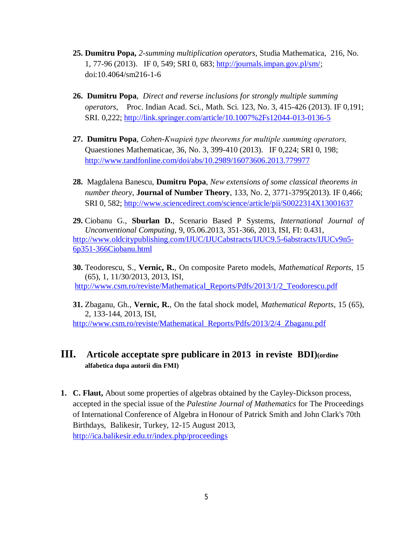- **25. Dumitru Popa,** *2-summing multiplication operators*, Studia Mathematica, 216, No. 1, 77-96 (2013). IF 0, 549; SRI 0, 683; http://journals.impan.gov.pl/sm/; doi:10.4064/sm216-1-6
- **26. Dumitru Popa**, *Direct and reverse inclusions for strongly multiple summing operators*, Proc. Indian Acad. Sci., Math. Sci. 123, No. 3, 415-426 (2013). IF 0,191; SRI. 0,222; http://link.springer.com/article/10.1007%2Fs12044-013-0136-5
- **27. Dumitru Popa**, *Cohen-Kwapień type theorems for multiple summing operators,*  Quaestiones Mathematicae, 36, No. 3, 399-410 (2013). IF 0,224; SRI 0, 198; http://www.tandfonline.com/doi/abs/10.2989/16073606.2013.779977
- **28.** Magdalena Banescu, **Dumitru Popa**, *New extensions of some classical theorems in number theory*, **Journal of Number Theory**, 133, No. 2, 3771-3795(2013). IF 0,466; SRI 0, 582; http://www.sciencedirect.com/science/article/pii/S0022314X13001637
- **29.** Ciobanu G., **Sburlan D.**, Scenario Based P Systems, *International Journal of Unconventional Computing*, 9, 05.06.2013, 351-366, 2013, ISI, FI: 0.431, http://www.oldcitypublishing.com/IJUC/IJUCabstracts/IJUC9.5-6abstracts/IJUCv9n5- 6p351-366Ciobanu.html
- **30.** Teodorescu, S., **Vernic, R.**, On composite Pareto models, *Mathematical Reports*, 15 (65), 1, 11/30/2013, 2013, ISI, http://www.csm.ro/reviste/Mathematical\_Reports/Pdfs/2013/1/2\_Teodorescu.pdf
- **31.** Zbaganu, Gh., **Vernic, R.**, On the fatal shock model, *Mathematical Reports*, 15 (65), 2, 133-144, 2013, ISI, http://www.csm.ro/reviste/Mathematical\_Reports/Pdfs/2013/2/4\_Zbaganu.pdf

#### **III. Articole acceptate spre publicare in 2013 in reviste BDI)(ordine alfabetica dupa autorii din FMI)**

**1. C. Flaut,** About some properties of algebras obtained by the Cayley-Dickson process, accepted in the special issue of the *Palestine Journal of Mathematics* for The Proceedings of International Conference of Algebra in Honour of Patrick Smith and John Clark's 70th Birthdays, Balikesir, Turkey, 12-15 August 2013, http://ica.balikesir.edu.tr/index.php/proceedings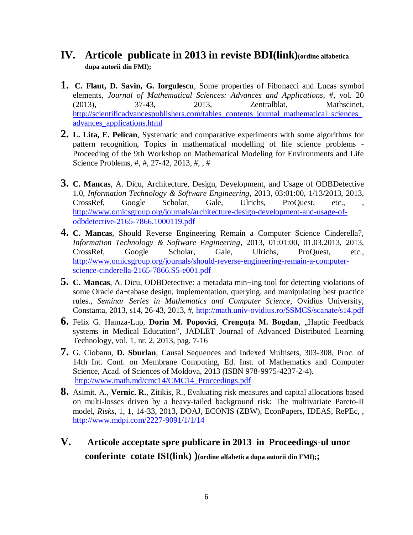#### **IV. Articole publicate in 2013 in reviste BDI(link)(ordine alfabetica dupa autorii din FMI);**

- **1. C. Flaut, D. Savin, G. Iorgulescu**, Some properties of Fibonacci and Lucas symbol elements, *Journal of Mathematical Sciences: Advances and Applications*, #, vol. 20 (2013), 37-43, 2013, Zentralblat, Mathscinet, http://scientificadvancespublishers.com/tables\_contents\_journal\_mathematical\_sciences advances\_applications.html
- **2. L. Lita, E. Pelican**, Systematic and comparative experiments with some algorithms for pattern recognition, Topics in mathematical modelling of life science problems - Proceeding of the 9th Workshop on Mathematical Modeling for Environments and Life Science Problems, #, #, 27-42, 2013, #, , #
- **3. C. Mancas**, A. Dicu, Architecture, Design, Development, and Usage of ODBDetective 1.0, *Information Technology & Software Engineering*, 2013, 03:01:00, 1/13/2013, 2013, CrossRef, Google Scholar, Gale, Ulrichs, ProQuest, etc., , http://www.omicsgroup.org/journals/architecture-design-development-and-usage-ofodbdetective-2165-7866.1000119.pdf
- **4. C. Mancas**, Should Reverse Engineering Remain a Computer Science Cinderella?, *Information Technology & Software Engineering*, 2013, 01:01:00, 01.03.2013, 2013, CrossRef, Google Scholar, Gale, Ulrichs, ProQuest, etc., http://www.omicsgroup.org/journals/should-reverse-engineering-remain-a-computerscience-cinderella-2165-7866.S5-e001.pdf
- **5. C. Mancas**, A. Dicu, ODBDetective: a metadata min¬ing tool for detecting violations of some Oracle da¬tabase design, implementation, querying, and manipulating best practice rules., *Seminar Series in Mathematics and Computer Science*, Ovidius University, Constanta, 2013, s14, 26-43, 2013, #, http://math.univ-ovidius.ro/SSMCS/scanate/s14.pdf
- **6.** Felix G. Hamza-Lup, **Dorin M. Popovici, Crenguta M. Bogdan**, "Haptic Feedback systems in Medical Education", JADLET Journal of Advanced Distributed Learning Technology, vol. 1, nr. 2, 2013, pag. 7-16
- **7.** G. Ciobanu, **D. Sburlan**, Causal Sequences and Indexed Multisets, 303-308, Proc. of 14th Int. Conf. on Membrane Computing, Ed. Inst. of Mathematics and Computer Science, Acad. of Sciences of Moldova, 2013 (ISBN 978-9975-4237-2-4). http://www.math.md/cmc14/CMC14\_Proceedings.pdf
- **8.** Asimit. A., **Vernic. R.**, Zitikis, R., Evaluating risk measures and capital allocations based on multi-losses driven by a heavy-tailed background risk: The multivariate Pareto-II model, *Risks*, 1, 1, 14-33, 2013, DOAJ, ECONIS (ZBW), EconPapers, IDEAS, RePEc, , http://www.mdpi.com/2227-9091/1/1/14
- **V. Articole acceptate spre publicare in 2013 in Proceedings-ul unor conferinte cotate ISI(link) )(ordine alfabetica dupa autorii din FMI);;**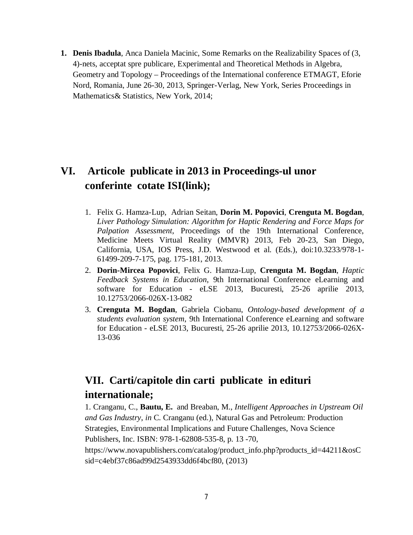**1. Denis Ibadula**, Anca Daniela Macinic, Some Remarks on the Realizability Spaces of (3, 4)-nets, acceptat spre publicare, Experimental and Theoretical Methods in Algebra, Geometry and Topology – Proceedings of the International conference ETMAGT, Eforie Nord, Romania, June 26-30, 2013, Springer-Verlag, New York, Series Proceedings in Mathematics& Statistics, New York, 2014;

### **VI. Articole publicate in 2013 in Proceedings-ul unor conferinte cotate ISI(link);**

- 1. Felix G. Hamza-Lup, Adrian Seitan, **Dorin M. Popovici**, **Crenguta M. Bogdan**, *Liver Pathology Simulation: Algorithm for Haptic Rendering and Force Maps for Palpation Assessment*, Proceedings of the 19th International Conference, Medicine Meets Virtual Reality (MMVR) 2013, Feb 20-23, San Diego, California, USA, IOS Press, J.D. Westwood et al. (Eds.), doi:10.3233/978-1- 61499-209-7-175, pag. 175-181, 2013.
- 2. **Dorin-Mircea Popovici**, Felix G. Hamza-Lup, **Crenguta M. Bogdan**, *Haptic Feedback Systems in Education*, 9th International Conference eLearning and software for Education - eLSE 2013, Bucuresti, 25-26 aprilie 2013, 10.12753/2066-026X-13-082
- 3. **Crenguta M. Bogdan**, Gabriela Ciobanu, *Ontology-based development of a students evaluation system*, 9th International Conference eLearning and software for Education - eLSE 2013, Bucuresti, 25-26 aprilie 2013, 10.12753/2066-026X-13-036

## **VII. Carti/capitole din carti publicate in edituri internationale;**

1. Cranganu, C., **Bautu, E.** and Breaban, M., *Intelligent Approaches in Upstream Oil and Gas Industry*, *in* C. Cranganu (ed.), Natural Gas and Petroleum: Production Strategies, Environmental Implications and Future Challenges, Nova Science Publishers, Inc. ISBN: 978-1-62808-535-8, p. 13 -70,

https://www.novapublishers.com/catalog/product\_info.php?products\_id=44211&osC sid=c4ebf37c86ad99d2543933dd6f4bcf80, (2013)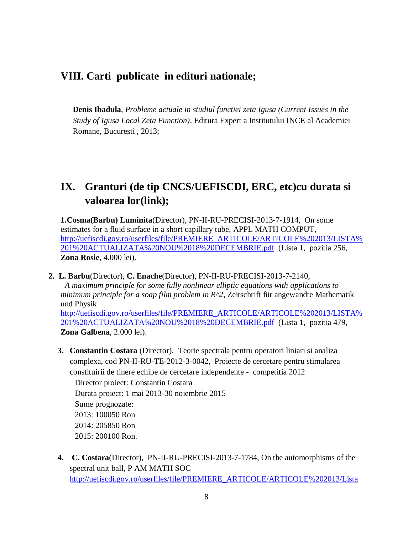### **VIII. Carti publicate in edituri nationale;**

**Denis Ibadula**, *Probleme actuale in studiul functiei zeta Igusa (Current Issues in the Study of Igusa Local Zeta Function)*, Editura Expert a Institutului INCE al Academiei Romane, Bucuresti , 2013;

## **IX. Granturi (de tip CNCS/UEFISCDI, ERC, etc)cu durata si valoarea lor(link);**

**1.Cosma(Barbu) Luminita**(Director), PN-II-RU-PRECISI-2013-7-1914, On some estimates for a fluid surface in a short capillary tube, APPL MATH COMPUT, http://uefiscdi.gov.ro/userfiles/file/PREMIERE\_ARTICOLE/ARTICOLE%202013/LISTA% 201%20ACTUALIZATA%20NOU%2018%20DECEMBRIE.pdf (Lista 1, pozitia 256, **Zona Rosie**, 4.000 lei).

**2. L. Barbu**(Director), **C. Enache**(Director), PN-II-RU-PRECISI-2013-7-2140, *A maximum principle for some fully nonlinear elliptic equations with applications to minimum principle for a soap film problem in R^2*, Zeitschrift für angewandte Mathematik und Physik

http://uefiscdi.gov.ro/userfiles/file/PREMIERE\_ARTICOLE/ARTICOLE%202013/LISTA% 201%20ACTUALIZATA%20NOU%2018%20DECEMBRIE.pdf (Lista 1, pozitia 479, **Zona Galbena**, 2.000 lei).

**3. Constantin Costara** (Director), Teorie spectrala pentru operatori liniari si analiza complexa, cod PN-II-RU-TE-2012-3-0042, Proiecte de cercetare pentru stimularea constituirii de tinere echipe de cercetare independente - competitia 2012

Director proiect: Constantin Costara Durata proiect: 1 mai 2013-30 noiembrie 2015 Sume prognozate: 2013: 100050 Ron 2014: 205850 Ron 2015: 200100 Ron.

**4. C. Costara**(Director), PN-II-RU-PRECISI-2013-7-1784, On the automorphisms of the spectral unit ball, P AM MATH SOC http://uefiscdi.gov.ro/userfiles/file/PREMIERE\_ARTICOLE/ARTICOLE%202013/Lista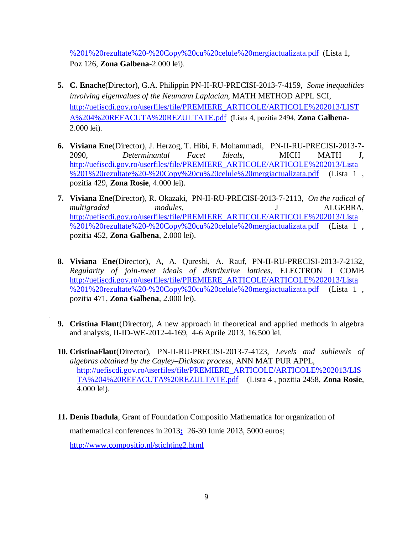%201%20rezultate%20-%20Copy%20cu%20celule%20mergiactualizata.pdf (Lista 1, Poz 126, **Zona Galbena**-2.000 lei).

- **5. C. Enache**(Director), G.A. Philippin PN-II-RU-PRECISI-2013-7-4159, *Some inequalities involving eigenvalues of the Neumann Laplacian,* MATH METHOD APPL SCI, http://uefiscdi.gov.ro/userfiles/file/PREMIERE\_ARTICOLE/ARTICOLE%202013/LIST A%204%20REFACUTA%20REZULTATE.pdf (Lista 4, pozitia 2494, **Zona Galbena**-2.000 lei).
- **6. Viviana Ene**(Director), J. Herzog, T. Hibi, F. Mohammadi, PN-II-RU-PRECISI-2013-7- 2090, *Determinantal Facet Ideals*, MICH MATH J, http://uefiscdi.gov.ro/userfiles/file/PREMIERE\_ARTICOLE/ARTICOLE%202013/Lista %201%20rezultate%20-%20Copy%20cu%20celule%20mergiactualizata.pdf (Lista 1 , pozitia 429, **Zona Rosie**, 4.000 lei).
- **7. Viviana Ene**(Director), R. Okazaki, PN-II-RU-PRECISI-2013-7-2113, *On the radical of multigraded modules,* J ALGEBRA, http://uefiscdi.gov.ro/userfiles/file/PREMIERE\_ARTICOLE/ARTICOLE%202013/Lista %201%20rezultate%20-%20Copy%20cu%20celule%20mergiactualizata.pdf (Lista 1 , pozitia 452, **Zona Galbena**, 2.000 lei).
- **8. Viviana Ene**(Director), A, A. Qureshi, A. Rauf, PN-II-RU-PRECISI-2013-7-2132, *Regularity of join-meet ideals of distributive lattices*, ELECTRON J COMB http://uefiscdi.gov.ro/userfiles/file/PREMIERE\_ARTICOLE/ARTICOLE%202013/Lista %201%20rezultate%20-%20Copy%20cu%20celule%20mergiactualizata.pdf (Lista 1 , pozitia 471, **Zona Galbena**, 2.000 lei).
- **9. Cristina Flaut**(Director), A new approach in theoretical and applied methods in algebra and analysis, II-ID-WE-2012-4-169, 4-6 Aprile 2013, 16.500 lei.

,

- **10. CristinaFlaut**(Director), PN-II-RU-PRECISI-2013-7-4123, *Levels and sublevels of algebras obtained by the Cayley–Dickson process*, ANN MAT PUR APPL, http://uefiscdi.gov.ro/userfiles/file/PREMIERE\_ARTICOLE/ARTICOLE%202013/LIS TA%204%20REFACUTA%20REZULTATE.pdf (Lista 4 , pozitia 2458, **Zona Rosie**, 4.000 lei).
- **11. Denis Ibadula**, Grant of Foundation Compositio Mathematica for organization of mathematical conferences in 2013**;** 26-30 Iunie 2013, 5000 euros; http://www.compositio.nl/stichting2.html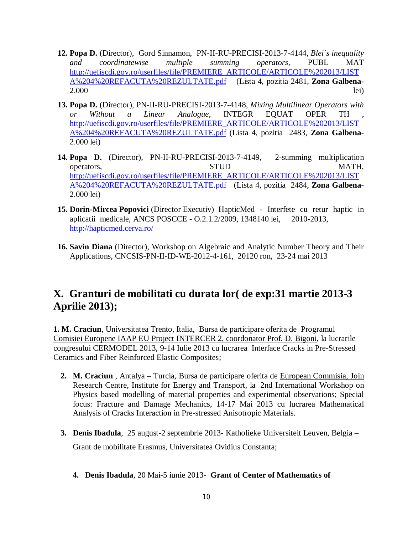- **12. Popa D.** (Director), Gord Sinnamon, PN-II-RU-PRECISI-2013-7-4144, *Blei´s inequality and coordinatewise multiple summing operators,* PUBL MAT http://uefiscdi.gov.ro/userfiles/file/PREMIERE\_ARTICOLE/ARTICOLE%202013/LIST A%204%20REFACUTA%20REZULTATE.pdf (Lista 4, pozitia 2481, **Zona Galbena**-2.000 lei)
- **13. Popa D.** (Director), PN-II-RU-PRECISI-2013-7-4148, *Mixing Multilinear Operators with or Without a Linear Analogue*, INTEGR EQUAT OPER TH , http://uefiscdi.gov.ro/userfiles/file/PREMIERE\_ARTICOLE/ARTICOLE%202013/LIST A%204%20REFACUTA%20REZULTATE.pdf (Lista 4, pozitia 2483, **Zona Galbena**-2.000 lei)
- **14. Popa D.** (Director), PN-II-RU-PRECISI-2013-7-4149, 2-summing multiplication operators, STUD MATH, http://uefiscdi.gov.ro/userfiles/file/PREMIERE\_ARTICOLE/ARTICOLE%202013/LIST A%204%20REFACUTA%20REZULTATE.pdf (Lista 4, pozitia 2484, **Zona Galbena**-2.000 lei)
- **15. Dorin-Mircea Popovici** (Director Executiv) HapticMed Interfete cu retur haptic in aplicatii medicale, ANCS POSCCE - O.2.1.2/2009, 1348140 lei, 2010-2013, http://hapticmed.cerva.ro/
- **16. Savin Diana** (Director), Workshop on Algebraic and Analytic Number Theory and Their Applications, CNCSIS-PN-II-ID-WE-2012-4-161, 20120 ron, 23-24 mai 2013

### **X. Granturi de mobilitati cu durata lor( de exp:31 martie 2013-3 Aprilie 2013);**

**1. M. Craciun***,* Universitatea Trento, Italia, Bursa de participare oferita de Programul Comisiei Europene IAAP EU Project INTERCER 2, coordonator Prof. D. Bigoni, la lucrarile congresului CERMODEL 2013, 9-14 Iulie 2013 cu lucrarea Interface Cracks in Pre-Stressed Ceramics and Fiber Reinforced Elastic Composites;

- **2. M. Craciun** , Antalya Turcia, Bursa de participare oferita de European Commisia, Join Research Centre, Institute for Energy and Transport, la 2nd International Workshop on Physics based modelling of material properties and experimental observations; Special focus: Fracture and Damage Mechanics, 14-17 Mai 2013 cu lucrarea Mathematical Analysis of Cracks Interaction in Pre-stressed Anisotropic Materials.
- **3. Denis Ibadula**, 25 august-2 septembrie 2013- Katholieke Universiteit Leuven, Belgia Grant de mobilitate Erasmus, Universitatea Ovidius Constanta;
	- **4. Denis Ibadula**, 20 Mai-5 iunie 2013- **Grant of Center of Mathematics of**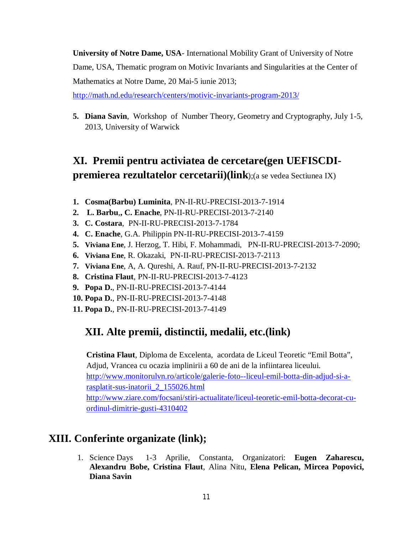**University of Notre Dame, USA**- International Mobility Grant of University of Notre Dame, USA, Thematic program on Motivic Invariants and Singularities at the Center of Mathematics at Notre Dame, 20 Mai-5 iunie 2013;

http://math.nd.edu/research/centers/motivic-invariants-program-2013/

**5. Diana Savin**, Workshop of Number Theory, Geometry and Cryptography, July 1-5, 2013, University of Warwick

## **XI. Premii pentru activiatea de cercetare(gen UEFISCDIpremierea rezultatelor cercetarii)(link**);(a se vedea Sectiunea IX)

- **1. Cosma(Barbu) Luminita**, PN-II-RU-PRECISI-2013-7-1914
- **2. L. Barbu**,**, C. Enache**, PN-II-RU-PRECISI-2013-7-2140
- **3. C. Costara**, PN-II-RU-PRECISI-2013-7-1784
- **4. C. Enache**, G.A. Philippin PN-II-RU-PRECISI-2013-7-4159
- **5. Viviana Ene**, J. Herzog, T. Hibi, F. Mohammadi, PN-II-RU-PRECISI-2013-7-2090;
- **6. Viviana Ene**, R. Okazaki, PN-II-RU-PRECISI-2013-7-2113
- **7. Viviana Ene**, A, A. Qureshi, A. Rauf, PN-II-RU-PRECISI-2013-7-2132
- **8. Cristina Flaut**, PN-II-RU-PRECISI-2013-7-4123
- **9. Popa D.**, PN-II-RU-PRECISI-2013-7-4144
- **10. Popa D.**, PN-II-RU-PRECISI-2013-7-4148
- **11. Popa D.**, PN-II-RU-PRECISI-2013-7-4149

### **XII. Alte premii, distinctii, medalii, etc.(link)**

**Cristina Flaut**, Diploma de Excelenta, acordata de Liceul Teoretic "Emil Botta", Adjud, Vrancea cu ocazia implinirii a 60 de ani de la infiintarea liceului. http://www.monitorulvn.ro/articole/galerie-foto--liceul-emil-botta-din-adjud-si-arasplatit-sus-inatorii\_2\_155026.html http://www.ziare.com/focsani/stiri-actualitate/liceul-teoretic-emil-botta-decorat-cuordinul-dimitrie-gusti-4310402

### **XIII. Conferinte organizate (link);**

1. Science Days 1-3 Aprilie, Constanta, Organizatori: **Eugen Zaharescu, Alexandru Bobe, Cristina Flaut**, Alina Nitu, **Elena Pelican, Mircea Popovici, Diana Savin**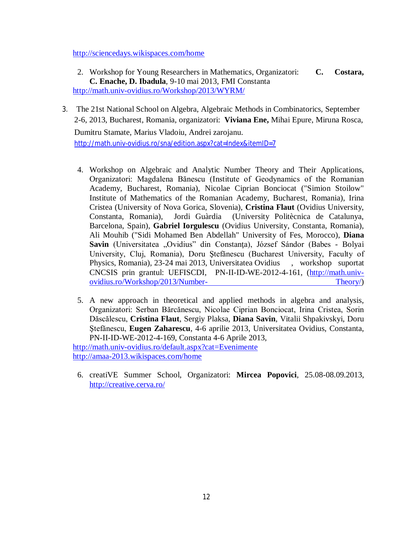http://sciencedays.wikispaces.com/home

- 2. Workshop for Young Researchers in Mathematics, Organizatori: **C. Costara, C. Enache, D. Ibadula**, 9-10 mai 2013, FMI Constanta http://math.univ-ovidius.ro/Workshop/2013/WYRM/
- 3. The 21st National School on Algebra, Algebraic Methods in Combinatorics, September 2-6, 2013, Bucharest, Romania, organizatori: **Viviana Ene,** Mihai Epure, Miruna Rosca, Dumitru Stamate, Marius Vladoiu, Andrei zarojanu. http://math.univ-ovidius.ro/sna/edition.aspx?cat=Index&itemID=7

4. Workshop on Algebraic and Analytic Number Theory and Their Applications, Organizatori: Magdalena Bănescu (Institute of Geodynamics of the Romanian Academy, Bucharest, Romania), Nicolae Ciprian Bonciocat ("Simion Stoilow" Institute of Mathematics of the Romanian Academy, Bucharest, Romania), Irina Cristea (University of Nova Gorica, Slovenia), **Cristina Flaut** (Ovidius University, Constanta, Romania), Jordi Guàrdia (University Politècnica de Catalunya, Barcelona, Spain), **Gabriel Iorgulescu** (Ovidius University, Constanta, Romania), Ali Mouhib ("Sidi Mohamed Ben Abdellah" University of Fes, Morocco), **Diana**  Savin (Universitatea "Ovidius" din Constanța), József Sándor (Babes - Bolyai University, Cluj, Romania), Doru Ştefănescu (Bucharest University, Faculty of Physics, Romania), 23-24 mai 2013, Universitatea Ovidius , workshop suportat CNCSIS prin grantul: UEFISCDI, PN-II-ID-WE-2012-4-161, (http://math.univovidius.ro/Workshop/2013/Number- Theory/)

5. A new approach in theoretical and applied methods in algebra and analysis, Organizatori: Serban Bărcănescu, Nicolae Ciprian Bonciocat, Irina Cristea, Sorin Dăscălescu, **Cristina Flaut**, Sergiy Plaksa, **Diana Savin**, Vitalii Shpakivskyi, Doru Ştefănescu, **Eugen Zaharescu**, 4-6 aprilie 2013, Universitatea Ovidius, Constanta, PN-II-ID-WE-2012-4-169, Constanta 4-6 Aprile 2013, http://math.univ-ovidius.ro/default.aspx?cat=Evenimente

http://amaa-2013.wikispaces.com/home

6. creatiVE Summer School, Organizatori: **Mircea Popovici**, 25.08-08.09.2013, http://creative.cerva.ro/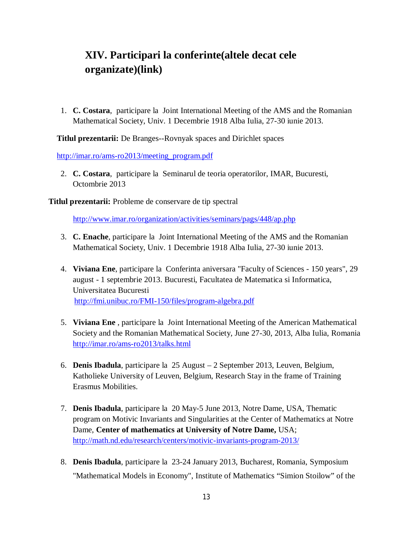## **XIV. Participari la conferinte(altele decat cele organizate)(link)**

1. **C. Costara**, participare la Joint International Meeting of the AMS and the Romanian Mathematical Society, Univ. 1 Decembrie 1918 Alba Iulia, 27-30 iunie 2013.

 **Titlul prezentarii:** De Branges--Rovnyak spaces and Dirichlet spaces

http://imar.ro/ams-ro2013/meeting\_program.pdf

2. **C. Costara**, participare la Seminarul de teoria operatorilor, IMAR, Bucuresti, Octombrie 2013

**Titlul prezentarii:** Probleme de conservare de tip spectral

http://www.imar.ro/organization/activities/seminars/pags/448/ap.php

- 3. **C. Enache**, participare la Joint International Meeting of the AMS and the Romanian Mathematical Society, Univ. 1 Decembrie 1918 Alba Iulia, 27-30 iunie 2013.
- 4. **Viviana Ene**, participare la Conferinta aniversara "Faculty of Sciences 150 years", 29 august - 1 septembrie 2013. Bucuresti, Facultatea de Matematica si Informatica, Universitatea Bucuresti http://fmi.unibuc.ro/FMI-150/files/program-algebra.pdf
- 5. **Viviana Ene** , participare la Joint International Meeting of the American Mathematical Society and the Romanian Mathematical Society, June 27-30, 2013, Alba Iulia, Romania http://imar.ro/ams-ro2013/talks.html
- 6. **Denis Ibadula**, participare la 25 August 2 September 2013, Leuven, Belgium, Katholieke University of Leuven, Belgium, Research Stay in the frame of Training Erasmus Mobilities.
- 7. **Denis Ibadula**, participare la 20 May-5 June 2013, Notre Dame, USA, Thematic program on Motivic Invariants and Singularities at the Center of Mathematics at Notre Dame, **Center of mathematics at University of Notre Dame,** USA; http://math.nd.edu/research/centers/motivic-invariants-program-2013/
- 8. **Denis Ibadula**, participare la 23-24 January 2013, Bucharest, Romania, Symposium "Mathematical Models in Economy", Institute of Mathematics "Simion Stoilow" of the